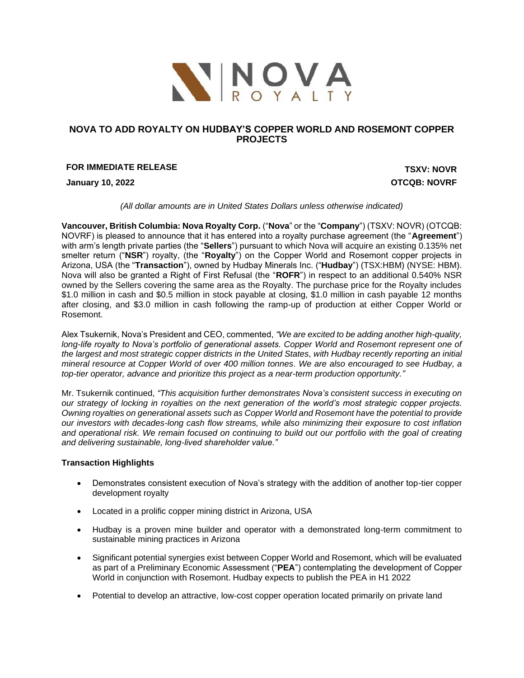

# **NOVA TO ADD ROYALTY ON HUDBAY'S COPPER WORLD AND ROSEMONT COPPER PROJECTS**

# **FOR IMMEDIATE RELEASE TSXV: NOVR**

**January 10, 2022 OTCQB: NOVRF**

*(All dollar amounts are in United States Dollars unless otherwise indicated)*

**Vancouver, British Columbia: Nova Royalty Corp.** ("**Nova**" or the "**Company**") (TSXV: NOVR) (OTCQB: NOVRF) is pleased to announce that it has entered into a royalty purchase agreement (the "**Agreement**") with arm's length private parties (the "**Sellers**") pursuant to which Nova will acquire an existing 0.135% net smelter return ("**NSR**") royalty, (the "**Royalty**") on the Copper World and Rosemont copper projects in Arizona, USA (the "**Transaction**"), owned by Hudbay Minerals Inc. ("**Hudbay**") (TSX:HBM) (NYSE: HBM). Nova will also be granted a Right of First Refusal (the "**ROFR**") in respect to an additional 0.540% NSR owned by the Sellers covering the same area as the Royalty. The purchase price for the Royalty includes \$1.0 million in cash and \$0.5 million in stock payable at closing, \$1.0 million in cash payable 12 months after closing, and \$3.0 million in cash following the ramp-up of production at either Copper World or Rosemont.

Alex Tsukernik, Nova's President and CEO, commented, *"We are excited to be adding another high-quality, long-life royalty to Nova's portfolio of generational assets. Copper World and Rosemont represent one of the largest and most strategic copper districts in the United States, with Hudbay recently reporting an initial mineral resource at Copper World of over 400 million tonnes. We are also encouraged to see Hudbay, a top-tier operator, advance and prioritize this project as a near-term production opportunity."*

Mr. Tsukernik continued, *"This acquisition further demonstrates Nova's consistent success in executing on our strategy of locking in royalties on the next generation of the world's most strategic copper projects. Owning royalties on generational assets such as Copper World and Rosemont have the potential to provide our investors with decades-long cash flow streams, while also minimizing their exposure to cost inflation and operational risk. We remain focused on continuing to build out our portfolio with the goal of creating and delivering sustainable, long-lived shareholder value."* 

### **Transaction Highlights**

- Demonstrates consistent execution of Nova's strategy with the addition of another top-tier copper development royalty
- Located in a prolific copper mining district in Arizona, USA
- Hudbay is a proven mine builder and operator with a demonstrated long-term commitment to sustainable mining practices in Arizona
- Significant potential synergies exist between Copper World and Rosemont, which will be evaluated as part of a Preliminary Economic Assessment ("**PEA**") contemplating the development of Copper World in conjunction with Rosemont. Hudbay expects to publish the PEA in H1 2022
- Potential to develop an attractive, low-cost copper operation located primarily on private land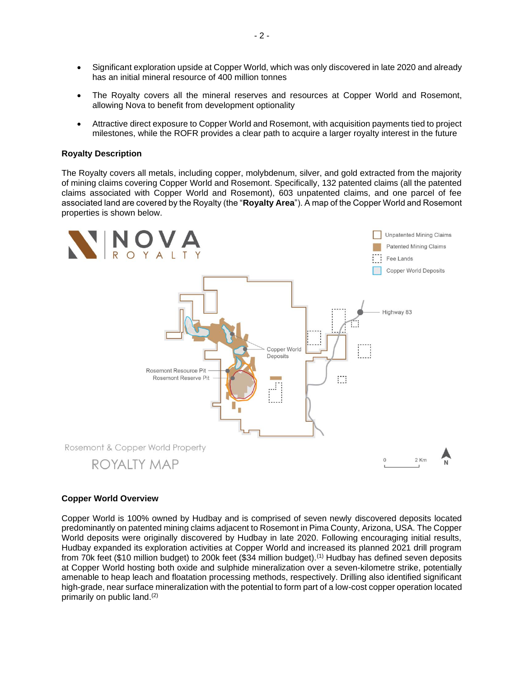- Significant exploration upside at Copper World, which was only discovered in late 2020 and already has an initial mineral resource of 400 million tonnes
- The Royalty covers all the mineral reserves and resources at Copper World and Rosemont, allowing Nova to benefit from development optionality
- Attractive direct exposure to Copper World and Rosemont, with acquisition payments tied to project milestones, while the ROFR provides a clear path to acquire a larger royalty interest in the future

### **Royalty Description**

The Royalty covers all metals, including copper, molybdenum, silver, and gold extracted from the majority of mining claims covering Copper World and Rosemont. Specifically, 132 patented claims (all the patented claims associated with Copper World and Rosemont), 603 unpatented claims, and one parcel of fee associated land are covered by the Royalty (the "**Royalty Area**"). A map of the Copper World and Rosemont properties is shown below.



### **Copper World Overview**

Copper World is 100% owned by Hudbay and is comprised of seven newly discovered deposits located predominantly on patented mining claims adjacent to Rosemont in Pima County, Arizona, USA. The Copper World deposits were originally discovered by Hudbay in late 2020. Following encouraging initial results, Hudbay expanded its exploration activities at Copper World and increased its planned 2021 drill program from 70k feet (\$10 million budget) to 200k feet (\$34 million budget).(1) Hudbay has defined seven deposits at Copper World hosting both oxide and sulphide mineralization over a seven-kilometre strike, potentially amenable to heap leach and floatation processing methods, respectively. Drilling also identified significant high-grade, near surface mineralization with the potential to form part of a low-cost copper operation located primarily on public land. (2)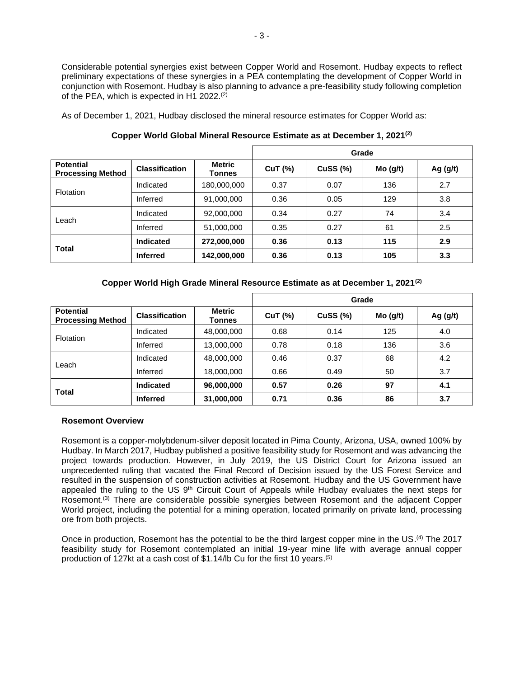Considerable potential synergies exist between Copper World and Rosemont. Hudbay expects to reflect preliminary expectations of these synergies in a PEA contemplating the development of Copper World in conjunction with Rosemont. Hudbay is also planning to advance a pre-feasibility study following completion of the PEA, which is expected in H1 2022. $(2)$ 

As of December 1, 2021, Hudbay disclosed the mineral resource estimates for Copper World as:

|                                              |                       |                         | Grade          |          |         |            |
|----------------------------------------------|-----------------------|-------------------------|----------------|----------|---------|------------|
| <b>Potential</b><br><b>Processing Method</b> | <b>Classification</b> | <b>Metric</b><br>Tonnes | <b>CuT</b> (%) | Cuss (%) | Mo(g/t) | Ag $(g/t)$ |
| <b>Flotation</b>                             | Indicated             | 180,000,000             | 0.37           | 0.07     | 136     | 2.7        |
|                                              | Inferred              | 91,000,000              | 0.36           | 0.05     | 129     | 3.8        |
| Leach                                        | Indicated             | 92,000,000              | 0.34           | 0.27     | 74      | 3.4        |
|                                              | Inferred              | 51,000,000              | 0.35           | 0.27     | 61      | 2.5        |
| <b>Total</b>                                 | <b>Indicated</b>      | 272,000,000             | 0.36           | 0.13     | 115     | 2.9        |
|                                              | <b>Inferred</b>       | 142,000,000             | 0.36           | 0.13     | 105     | 3.3        |

**Copper World Global Mineral Resource Estimate as at December 1, 2021(2)**

# **Copper World High Grade Mineral Resource Estimate as at December 1, 2021(2)**

|                                              |                       |                  | Grade          |                 |         |            |
|----------------------------------------------|-----------------------|------------------|----------------|-----------------|---------|------------|
| <b>Potential</b><br><b>Processing Method</b> | <b>Classification</b> | Metric<br>Tonnes | <b>CuT (%)</b> | <b>CuSS (%)</b> | Mo(g/t) | Ag $(g/t)$ |
| <b>Flotation</b>                             | Indicated             | 48,000,000       | 0.68           | 0.14            | 125     | 4.0        |
|                                              | Inferred              | 13,000,000       | 0.78           | 0.18            | 136     | 3.6        |
| Leach                                        | Indicated             | 48,000,000       | 0.46           | 0.37            | 68      | 4.2        |
|                                              | Inferred              | 18,000,000       | 0.66           | 0.49            | 50      | 3.7        |
| <b>Total</b>                                 | <b>Indicated</b>      | 96,000,000       | 0.57           | 0.26            | 97      | 4.1        |
|                                              | <b>Inferred</b>       | 31,000,000       | 0.71           | 0.36            | 86      | 3.7        |

### **Rosemont Overview**

Rosemont is a copper-molybdenum-silver deposit located in Pima County, Arizona, USA, owned 100% by Hudbay. In March 2017, Hudbay published a positive feasibility study for Rosemont and was advancing the project towards production. However, in July 2019, the US District Court for Arizona issued an unprecedented ruling that vacated the Final Record of Decision issued by the US Forest Service and resulted in the suspension of construction activities at Rosemont. Hudbay and the US Government have appealed the ruling to the US 9<sup>th</sup> Circuit Court of Appeals while Hudbay evaluates the next steps for Rosemont.<sup>(3)</sup> There are considerable possible synergies between Rosemont and the adjacent Copper World project, including the potential for a mining operation, located primarily on private land, processing ore from both projects.

Once in production, Rosemont has the potential to be the third largest copper mine in the US.<sup>(4)</sup> The 2017 feasibility study for Rosemont contemplated an initial 19-year mine life with average annual copper production of 127kt at a cash cost of \$1.14/lb Cu for the first 10 years. (5)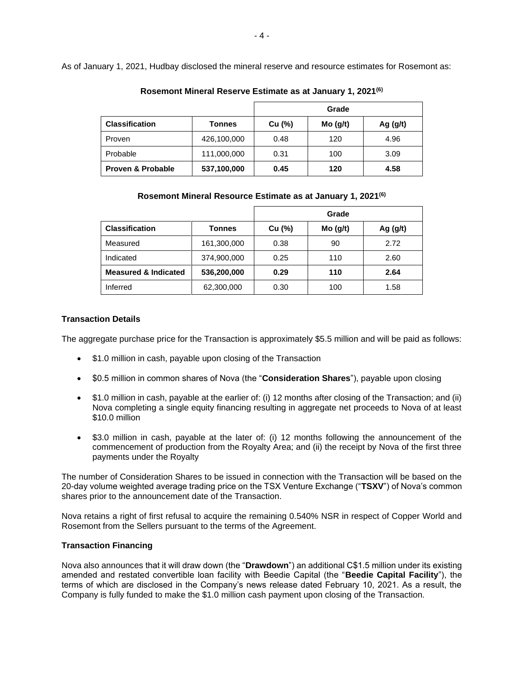As of January 1, 2021, Hudbay disclosed the mineral reserve and resource estimates for Rosemont as:

|                              | Grade       |        |         |            |
|------------------------------|-------------|--------|---------|------------|
| <b>Classification</b>        | Tonnes      | Cu (%) | Mo(g/t) | Ag $(g/t)$ |
| Proven                       | 426,100,000 | 0.48   | 120     | 4.96       |
| Probable                     | 111,000,000 | 0.31   | 100     | 3.09       |
| <b>Proven &amp; Probable</b> | 537,100,000 | 0.45   | 120     | 4.58       |

**Rosemont Mineral Reserve Estimate as at January 1, 2021(6)**

**Rosemont Mineral Resource Estimate as at January 1, 2021(6)**

|                                 |             | Grade  |         |            |
|---------------------------------|-------------|--------|---------|------------|
| <b>Classification</b>           | Tonnes      | Cu (%) | Mo(g/t) | Ag $(g/t)$ |
| Measured                        | 161,300,000 | 0.38   | 90      | 2.72       |
| Indicated                       | 374,900,000 | 0.25   | 110     | 2.60       |
| <b>Measured &amp; Indicated</b> | 536,200,000 | 0.29   | 110     | 2.64       |
| Inferred                        | 62,300,000  | 0.30   | 100     | 1.58       |

## **Transaction Details**

The aggregate purchase price for the Transaction is approximately \$5.5 million and will be paid as follows:

- \$1.0 million in cash, payable upon closing of the Transaction
- \$0.5 million in common shares of Nova (the "**Consideration Shares**"), payable upon closing
- \$1.0 million in cash, payable at the earlier of: (i) 12 months after closing of the Transaction; and (ii) Nova completing a single equity financing resulting in aggregate net proceeds to Nova of at least \$10.0 million
- \$3.0 million in cash, payable at the later of: (i) 12 months following the announcement of the commencement of production from the Royalty Area; and (ii) the receipt by Nova of the first three payments under the Royalty

The number of Consideration Shares to be issued in connection with the Transaction will be based on the 20-day volume weighted average trading price on the TSX Venture Exchange ("**TSXV**") of Nova's common shares prior to the announcement date of the Transaction.

Nova retains a right of first refusal to acquire the remaining 0.540% NSR in respect of Copper World and Rosemont from the Sellers pursuant to the terms of the Agreement.

### **Transaction Financing**

Nova also announces that it will draw down (the "**Drawdown**") an additional C\$1.5 million under its existing amended and restated convertible loan facility with Beedie Capital (the "**Beedie Capital Facility**"), the terms of which are disclosed in the Company's news release dated February 10, 2021. As a result, the Company is fully funded to make the \$1.0 million cash payment upon closing of the Transaction.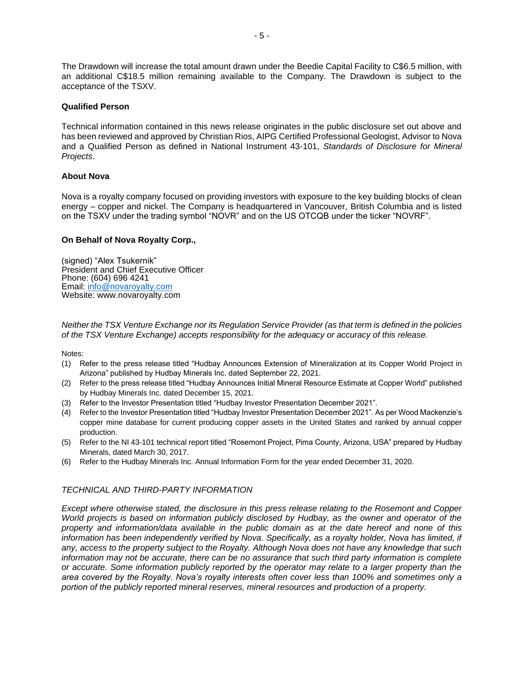The Drawdown will increase the total amount drawn under the Beedie Capital Facility to C\$6.5 million, with an additional C\$18.5 million remaining available to the Company. The Drawdown is subject to the acceptance of the TSXV.

### **Qualified Person**

Technical information contained in this news release originates in the public disclosure set out above and has been reviewed and approved by Christian Rios, AIPG Certified Professional Geologist, Advisor to Nova and a Qualified Person as defined in National Instrument 43-101, *Standards of Disclosure for Mineral Projects*.

## **About Nova**

Nova is a royalty company focused on providing investors with exposure to the key building blocks of clean energy – copper and nickel. The Company is headquartered in Vancouver, British Columbia and is listed on the TSXV under the trading symbol "NOVR" and on the US OTCQB under the ticker "NOVRF".

## **On Behalf of Nova Royalty Corp.,**

(signed) "Alex Tsukernik" President and Chief Executive Officer Phone: (604) 696 4241 Email: [info@novaroyalty.com](mailto:info@novaroyalty.com) Website: www.novaroyalty.com

*Neither the TSX Venture Exchange nor its Regulation Service Provider (as that term is defined in the policies of the TSX Venture Exchange) accepts responsibility for the adequacy or accuracy of this release.*

Notes:

- (1) Refer to the press release titled "Hudbay Announces Extension of Mineralization at its Copper World Project in Arizona" published by Hudbay Minerals Inc. dated September 22, 2021.
- (2) Refer to the press release titled "Hudbay Announces Initial Mineral Resource Estimate at Copper World" published by Hudbay Minerals Inc. dated December 15, 2021.
- (3) Refer to the Investor Presentation titled "Hudbay Investor Presentation December 2021".
- (4) Refer to the Investor Presentation titled "Hudbay Investor Presentation December 2021". As per Wood Mackenzie's copper mine database for current producing copper assets in the United States and ranked by annual copper production.
- (5) Refer to the NI 43-101 technical report titled "Rosemont Project, Pima County, Arizona, USA" prepared by Hudbay Minerals, dated March 30, 2017.
- (6) Refer to the Hudbay Minerals Inc. Annual Information Form for the year ended December 31, 2020.

## *TECHNICAL AND THIRD-PARTY INFORMATION*

*Except where otherwise stated, the disclosure in this press release relating to the Rosemont and Copper World projects is based on information publicly disclosed by Hudbay, as the owner and operator of the property and information/data available in the public domain as at the date hereof and none of this*  information has been independently verified by Nova. Specifically, as a royalty holder, Nova has limited, if *any, access to the property subject to the Royalty. Although Nova does not have any knowledge that such information may not be accurate, there can be no assurance that such third party information is complete or accurate. Some information publicly reported by the operator may relate to a larger property than the area covered by the Royalty. Nova's royalty interests often cover less than 100% and sometimes only a portion of the publicly reported mineral reserves, mineral resources and production of a property.*